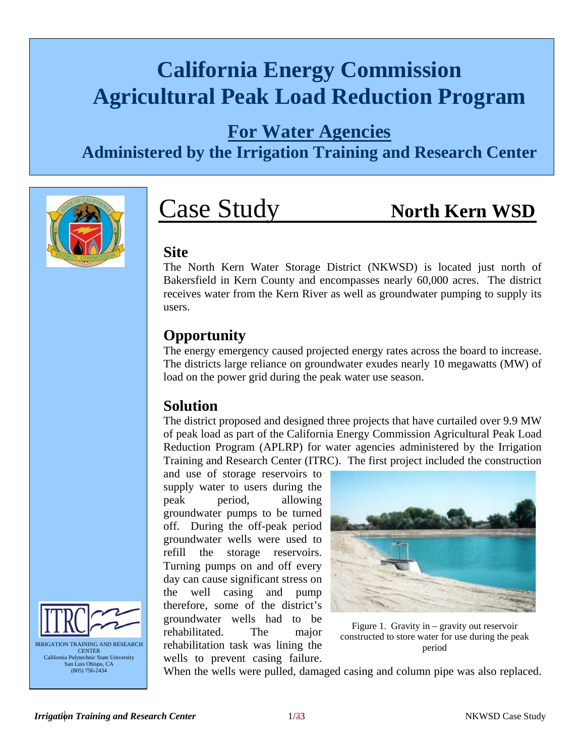# **California Energy Commission Agricultural Peak Load Reduction Program**

## **For Water Agencies**

**Administered by the Irrigation Training and Research Center**



# Case Study **North Kern WSD**

#### **Site**

The North Kern Water Storage District (NKWSD) is located just north of Bakersfield in Kern County and encompasses nearly 60,000 acres. The district receives water from the Kern River as well as groundwater pumping to supply its users.

#### **Opportunity**

The energy emergency caused projected energy rates across the board to increase. The districts large reliance on groundwater exudes nearly 10 megawatts (MW) of load on the power grid during the peak water use season.

#### **Solution**

The district proposed and designed three projects that have curtailed over 9.9 MW of peak load as part of the California Energy Commission Agricultural Peak Load Reduction Program (APLRP) for water agencies administered by the Irrigation Training and Research Center (ITRC). The first project included the construction

and use of storage reservoirs to supply water to users during the peak period, allowing groundwater pumps to be turned off. During the off-peak period groundwater wells were used to refill the storage reservoirs. Turning pumps on and off every day can cause significant stress on the well casing and pump therefore, some of the district's groundwater wells had to be rehabilitated. The major rehabilitation task was lining the wells to prevent casing failure.



Figure 1. Gravity in – gravity out reservoir constructed to store water for use during the peak period

When the wells were pulled, damaged casing and column pipe was also replaced.

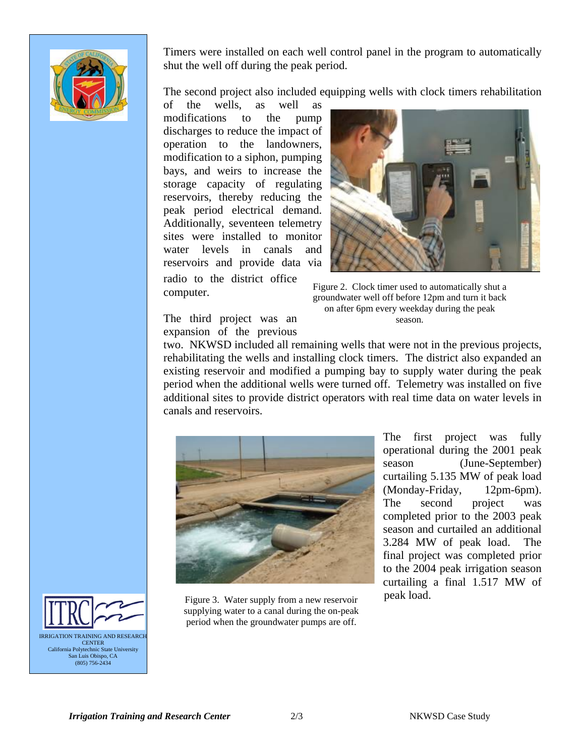

Timers were installed on each well control panel in the program to automatically shut the well off during the peak period.

The second project also included equipping wells with clock timers rehabilitation

of the wells, as well as modifications to the pump discharges to reduce the impact of operation to the landowners, modification to a siphon, pumping bays, and weirs to increase the storage capacity of regulating reservoirs, thereby reducing the peak period electrical demand. Additionally, seventeen telemetry sites were installed to monitor water levels in canals and reservoirs and provide data via radio to the district office computer.



Figure 2. Clock timer used to automatically shut a groundwater well off before 12pm and turn it back on after 6pm every weekday during the peak season.

The third project was an expansion of the previous

two. NKWSD included all remaining wells that were not in the previous projects, rehabilitating the wells and installing clock timers. The district also expanded an existing reservoir and modified a pumping bay to supply water during the peak period when the additional wells were turned off. Telemetry was installed on five additional sites to provide district operators with real time data on water levels in canals and reservoirs.



Figure 3. Water supply from a new reservoir supplying water to a canal during the on-peak period when the groundwater pumps are off.

The first project was fully operational during the 2001 peak season (June-September) curtailing 5.135 MW of peak load (Monday-Friday, 12pm-6pm). The second project was completed prior to the 2003 peak season and curtailed an additional 3.284 MW of peak load. The final project was completed prior to the 2004 peak irrigation season curtailing a final 1.517 MW of peak load.